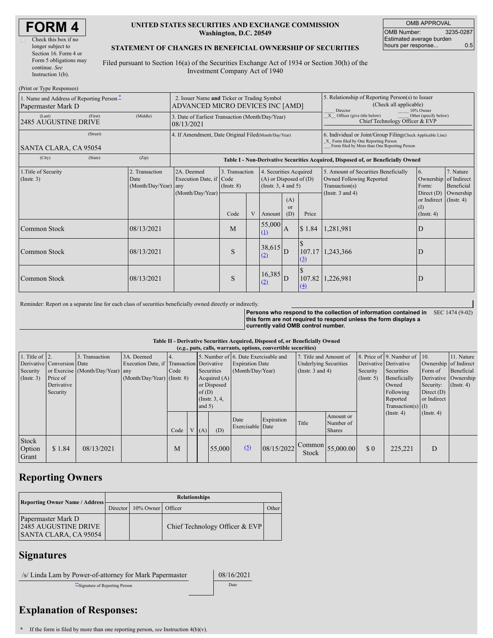| <b>ORM</b>          |  |
|---------------------|--|
| heck this hoy if no |  |

| Check this box if no   |
|------------------------|
| longer subject to      |
| Section 16. Form 4 or  |
| Form 5 obligations may |
| continue. See          |
| Instruction $1(b)$ .   |

### **UNITED STATES SECURITIES AND EXCHANGE COMMISSION Washington, D.C. 20549**

| <b>OMB APPROVAL</b>             |     |  |  |  |  |  |  |
|---------------------------------|-----|--|--|--|--|--|--|
| 3235-0287<br><b>OMB Number:</b> |     |  |  |  |  |  |  |
| Estimated average burden        |     |  |  |  |  |  |  |
| hours per response              | 0.5 |  |  |  |  |  |  |

### **STATEMENT OF CHANGES IN BENEFICIAL OWNERSHIP OF SECURITIES**

Filed pursuant to Section 16(a) of the Securities Exchange Act of 1934 or Section 30(h) of the Investment Company Act of 1940

| (Print or Type Responses)                                                       |                                                                                 |                                                                                  |                                   |   |                                                                             |                                                                                                     |                                                                                                                                                    |                                                                                                             |                                                      |                                      |
|---------------------------------------------------------------------------------|---------------------------------------------------------------------------------|----------------------------------------------------------------------------------|-----------------------------------|---|-----------------------------------------------------------------------------|-----------------------------------------------------------------------------------------------------|----------------------------------------------------------------------------------------------------------------------------------------------------|-------------------------------------------------------------------------------------------------------------|------------------------------------------------------|--------------------------------------|
| 1. Name and Address of Reporting Person $\ddot{\text{-}}$<br>Papermaster Mark D | 2. Issuer Name and Ticker or Trading Symbol<br>ADVANCED MICRO DEVICES INC [AMD] |                                                                                  |                                   |   |                                                                             | 5. Relationship of Reporting Person(s) to Issuer<br>(Check all applicable)<br>Director<br>10% Owner |                                                                                                                                                    |                                                                                                             |                                                      |                                      |
| (Last)<br>(First)<br><b>2485 AUGUSTINE DRIVE</b>                                | (Middle)                                                                        | 3. Date of Earliest Transaction (Month/Day/Year)<br>08/13/2021                   |                                   |   |                                                                             |                                                                                                     | $\overline{X}$ Officer (give title below)<br>Other (specify below)<br>Chief Technology Officer & EVP                                               |                                                                                                             |                                                      |                                      |
| (Street)<br>SANTA CLARA, CA 95054                                               |                                                                                 | 4. If Amendment, Date Original Filed(Month/Day/Year)                             |                                   |   |                                                                             |                                                                                                     | 6. Individual or Joint/Group Filing(Check Applicable Line)<br>X Form filed by One Reporting Person<br>Form filed by More than One Reporting Person |                                                                                                             |                                                      |                                      |
| (City)<br>(State)                                                               | (Zip)                                                                           | Table I - Non-Derivative Securities Acquired, Disposed of, or Beneficially Owned |                                   |   |                                                                             |                                                                                                     |                                                                                                                                                    |                                                                                                             |                                                      |                                      |
| 1. Title of Security<br>$($ Instr. 3 $)$                                        | 2. Transaction<br>Date<br>(Month/Day/Year)                                      | 2A. Deemed<br>Execution Date, if Code<br>any<br>(Month/Day/Year)                 | 3. Transaction<br>$($ Instr. $8)$ |   | 4. Securities Acquired<br>$(A)$ or Disposed of $(D)$<br>(Instr. 3, 4 and 5) |                                                                                                     |                                                                                                                                                    | 5. Amount of Securities Beneficially<br>Owned Following Reported<br>Transaction(s)<br>(Instr. $3$ and $4$ ) | 6.<br>Ownership of Indirect<br>Form:<br>Direct $(D)$ | 7. Nature<br>Beneficial<br>Ownership |
|                                                                                 |                                                                                 |                                                                                  | Code                              | V | Amount                                                                      | (A)<br>or<br>(D)                                                                                    | Price                                                                                                                                              |                                                                                                             | or Indirect (Instr. 4)<br>(I)<br>$($ Instr. 4 $)$    |                                      |
| Common Stock                                                                    | 08/13/2021                                                                      |                                                                                  | M                                 |   | 55,000<br>(1)                                                               | A                                                                                                   | \$1.84                                                                                                                                             | 1,281,981                                                                                                   | D                                                    |                                      |
| Common Stock                                                                    | 08/13/2021                                                                      |                                                                                  | S                                 |   | 38,615<br>(2)                                                               | D                                                                                                   | 107.17<br>(3)                                                                                                                                      | 1,243,366                                                                                                   |                                                      |                                      |
| Common Stock                                                                    | 08/13/2021                                                                      |                                                                                  | S                                 |   | $16,385$ <sub>D</sub><br>(2)                                                |                                                                                                     | 107.82<br>(4)                                                                                                                                      | 1,226,981                                                                                                   | D                                                    |                                      |

Reminder: Report on a separate line for each class of securities beneficially owned directly or indirectly.

**Persons who respond to the collection of information contained in this form are not required to respond unless the form displays a currently valid OMB control number.** SEC 1474 (9-02)

**Table II - Derivative Securities Acquired, Disposed of, or Beneficially Owned**

| (e.g., puts, calls, warrants, options, convertible securities) |                            |                                  |                                           |      |  |                 |             |                                      |            |                              |                                  |                       |                              |                  |                       |
|----------------------------------------------------------------|----------------------------|----------------------------------|-------------------------------------------|------|--|-----------------|-------------|--------------------------------------|------------|------------------------------|----------------------------------|-----------------------|------------------------------|------------------|-----------------------|
| 1. Title of $ 2$ .                                             |                            | 3. Transaction                   | 3A. Deemed                                |      |  |                 |             | 5. Number of 6. Date Exercisable and |            | 7. Title and Amount of       |                                  |                       | 8. Price of 9. Number of 10. |                  | 11. Nature            |
|                                                                | Derivative Conversion Date |                                  | Execution Date, if Transaction Derivative |      |  |                 |             | <b>Expiration Date</b>               |            | <b>Underlying Securities</b> |                                  | Derivative Derivative |                              |                  | Ownership of Indirect |
| Security                                                       |                            | or Exercise (Month/Day/Year) any |                                           | Code |  | Securities      |             | (Month/Day/Year)                     |            | (Instr. $3$ and $4$ )        |                                  | Security              | Securities                   | Form of          | Beneficial            |
| $($ Instr. 3 $)$                                               | Price of                   |                                  | $(Month/Day/Year)$ (Instr. 8)             |      |  | Acquired $(A)$  |             |                                      |            |                              |                                  | (Insert. 5)           | Beneficially                 |                  | Derivative Ownership  |
|                                                                | Derivative                 |                                  |                                           |      |  |                 | or Disposed |                                      |            |                              |                                  |                       | Owned                        | Security:        | $($ Instr. 4 $)$      |
|                                                                | Security                   |                                  |                                           |      |  | of(D)           |             |                                      |            |                              |                                  |                       | Following                    | Direct $(D)$     |                       |
|                                                                |                            |                                  |                                           |      |  | (Instr. $3, 4,$ |             |                                      |            |                              |                                  |                       | Reported                     | or Indirect      |                       |
|                                                                |                            |                                  |                                           |      |  | and $5)$        |             |                                      |            |                              |                                  |                       | Transaction(s) $(I)$         |                  |                       |
|                                                                |                            |                                  |                                           |      |  |                 |             |                                      |            |                              | Amount or                        |                       | $($ Instr. 4 $)$             | $($ Instr. 4 $)$ |                       |
|                                                                |                            |                                  |                                           |      |  |                 |             | Date                                 | Expiration | Title                        | Number of                        |                       |                              |                  |                       |
|                                                                |                            |                                  |                                           | Code |  | (A)             | (D)         | Exercisable Date                     |            |                              | <b>Shares</b>                    |                       |                              |                  |                       |
| <b>Stock</b><br>Option                                         | \$1.84                     | 08/13/2021                       |                                           | M    |  |                 | 55,000      | (5)                                  | 08/15/2022 |                              | $\sqrt{\text{Common}}$ 55,000.00 | $\Omega$              | 225,221                      | D                |                       |
| Grant                                                          |                            |                                  |                                           |      |  |                 |             |                                      |            | Stock                        |                                  |                       |                              |                  |                       |

# **Reporting Owners**

|                                                                            | <b>Relationships</b> |                            |                                |              |  |  |  |  |  |
|----------------------------------------------------------------------------|----------------------|----------------------------|--------------------------------|--------------|--|--|--|--|--|
| Reporting Owner Name / Address                                             |                      | Director 10% Owner Officer |                                | <b>Other</b> |  |  |  |  |  |
| Papermaster Mark D<br><b>2485 AUGUSTINE DRIVE</b><br>SANTA CLARA, CA 95054 |                      |                            | Chief Technology Officer & EVP |              |  |  |  |  |  |

# **Signatures**

/s/ Linda Lam by Power-of-attorney for Mark Papermaster 08/16/2021

\*\*Signature of Reporting Person Date

# **Explanation of Responses:**

**\*** If the form is filed by more than one reporting person, *see* Instruction 4(b)(v).